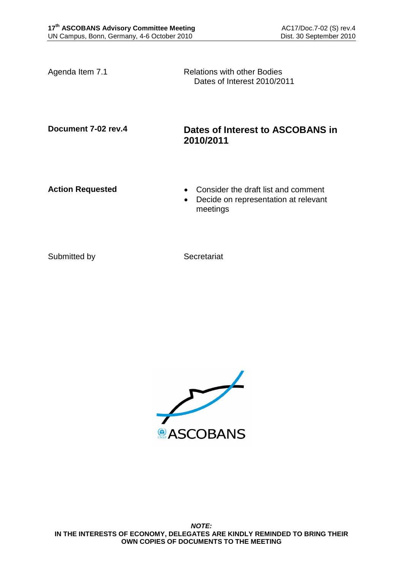Agenda Item 7.1 Relations with other Bodies Dates of Interest 2010/2011

## **Document 7-02 rev.4 Dates of Interest to ASCOBANS in 2010/2011**

- Action Requested **Consider the draft list and comment** 
	- Decide on representation at relevant meetings

Submitted by Secretariat

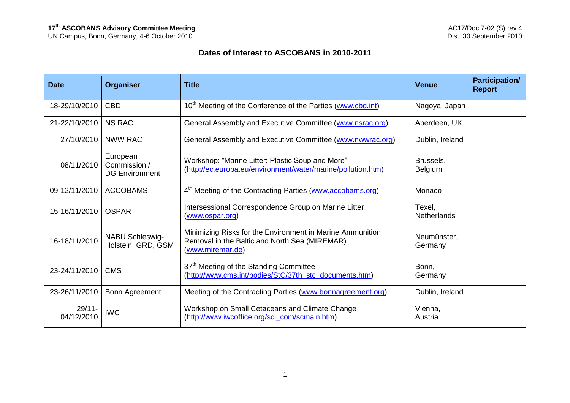## **Dates of Interest to ASCOBANS in 2010-2011**

| <b>Date</b>             | <b>Organiser</b>                                  | <b>Title</b>                                                                                                                   | <b>Venue</b>                 | <b>Participation/</b><br><b>Report</b> |
|-------------------------|---------------------------------------------------|--------------------------------------------------------------------------------------------------------------------------------|------------------------------|----------------------------------------|
| 18-29/10/2010           | <b>CBD</b>                                        | 10 <sup>th</sup> Meeting of the Conference of the Parties (www.cbd.int)                                                        | Nagoya, Japan                |                                        |
| 21-22/10/2010           | <b>NS RAC</b>                                     | General Assembly and Executive Committee (www.nsrac.org)                                                                       | Aberdeen, UK                 |                                        |
| 27/10/2010              | <b>NWW RAC</b>                                    | General Assembly and Executive Committee (www.nwwrac.org)                                                                      | Dublin, Ireland              |                                        |
| 08/11/2010              | European<br>Commission /<br><b>DG Environment</b> | Workshop: "Marine Litter: Plastic Soup and More"<br>(http://ec.europa.eu/environment/water/marine/pollution.htm)               | Brussels,<br>Belgium         |                                        |
| 09-12/11/2010           | <b>ACCOBAMS</b>                                   | 4 <sup>th</sup> Meeting of the Contracting Parties (www.accobams.org)                                                          | Monaco                       |                                        |
| 15-16/11/2010           | <b>OSPAR</b>                                      | Intersessional Correspondence Group on Marine Litter<br>(www.ospar.org)                                                        | Texel,<br><b>Netherlands</b> |                                        |
| 16-18/11/2010           | NABU Schleswig-<br>Holstein, GRD, GSM             | Minimizing Risks for the Environment in Marine Ammunition<br>Removal in the Baltic and North Sea (MIREMAR)<br>(www.miremar.de) | Neumünster,<br>Germany       |                                        |
| 23-24/11/2010           | <b>CMS</b>                                        | 37 <sup>th</sup> Meeting of the Standing Committee<br>(http://www.cms.int/bodies/StC/37th stc documents.htm)                   | Bonn,<br>Germany             |                                        |
| 23-26/11/2010           | Bonn Agreement                                    | Meeting of the Contracting Parties (www.bonnagreement.org)                                                                     | Dublin, Ireland              |                                        |
| $29/11 -$<br>04/12/2010 | <b>IWC</b>                                        | Workshop on Small Cetaceans and Climate Change<br>(http://www.iwcoffice.org/sci_com/scmain.htm)                                | Vienna,<br>Austria           |                                        |